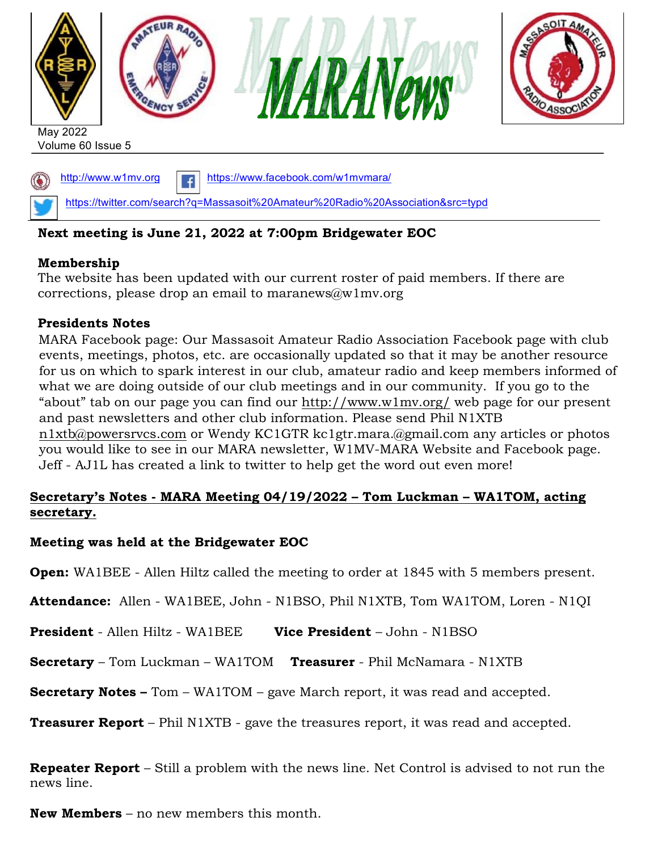

# **Next meeting is June 21, 2022 at 7:00pm Bridgewater EOC**

# **Membership**

The website has been updated with our current roster of paid members. If there are corrections, please drop an email to maranews@w1mv.org

# **Presidents Notes**

MARA Facebook page: Our Massasoit Amateur Radio Association Facebook page with club events, meetings, photos, etc. are occasionally updated so that it may be another resource for us on which to spark interest in our club, amateur radio and keep members informed of what we are doing outside of our club meetings and in our community. If you go to the "about" tab on our page you can find our http://www.w1mv.org/ web page for our present and past newsletters and other club information. Please send Phil N1XTB n1xtb@powersrvcs.com or Wendy KC1GTR kc1gtr.mara.@gmail.com any articles or photos you would like to see in our MARA newsletter, W1MV-MARA Website and Facebook page. Jeff - AJ1L has created a link to twitter to help get the word out even more!

# **Secretary's Notes - MARA Meeting 04/19/2022 – Tom Luckman – WA1TOM, acting secretary.**

# **Meeting was held at the Bridgewater EOC**

**Open:** WA1BEE - Allen Hiltz called the meeting to order at 1845 with 5 members present.

**Attendance:** Allen - WA1BEE, John - N1BSO, Phil N1XTB, Tom WA1TOM, Loren - N1QI

**President** - Allen Hiltz - WA1BEE **Vice President** – John - N1BSO

**Secretary** – Tom Luckman – WA1TOM **Treasurer** - Phil McNamara - N1XTB

**Secretary Notes –** Tom – WA1TOM – gave March report, it was read and accepted.

**Treasurer Report** – Phil N1XTB - gave the treasures report, it was read and accepted.

**Repeater Report** – Still a problem with the news line. Net Control is advised to not run the news line.

**New Members** – no new members this month.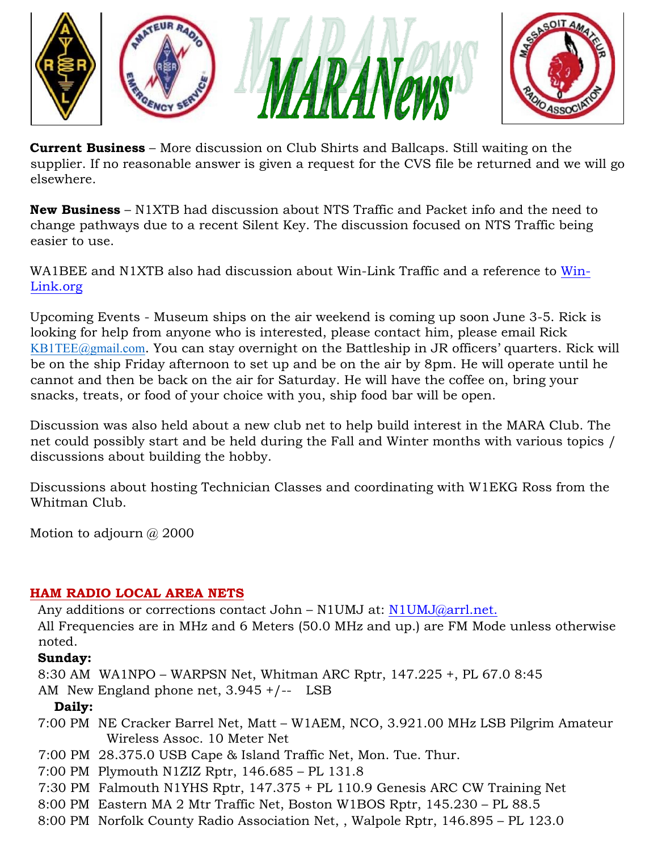

**Current Business** – More discussion on Club Shirts and Ballcaps. Still waiting on the supplier. If no reasonable answer is given a request for the CVS file be returned and we will go elsewhere.

**New Business** – N1XTB had discussion about NTS Traffic and Packet info and the need to change pathways due to a recent Silent Key. The discussion focused on NTS Traffic being easier to use.

WA1BEE and N1XTB also had discussion about Win-Link Traffic and a reference to Win-Link.org

Upcoming Events - Museum ships on the air weekend is coming up soon June 3-5. Rick is looking for help from anyone who is interested, please contact him, please email Rick KB1TEE@gmail.com. You can stay overnight on the Battleship in JR officers' quarters. Rick will be on the ship Friday afternoon to set up and be on the air by 8pm. He will operate until he cannot and then be back on the air for Saturday. He will have the coffee on, bring your snacks, treats, or food of your choice with you, ship food bar will be open.

Discussion was also held about a new club net to help build interest in the MARA Club. The net could possibly start and be held during the Fall and Winter months with various topics / discussions about building the hobby.

Discussions about hosting Technician Classes and coordinating with W1EKG Ross from the Whitman Club.

Motion to adjourn  $\omega$  2000

# **HAM RADIO LOCAL AREA NETS**

Any additions or corrections contact John – N1UMJ at: N1UMJ@arrl.net.

All Frequencies are in MHz and 6 Meters (50.0 MHz and up.) are FM Mode unless otherwise noted.

# **Sunday:**

8:30 AM WA1NPO – WARPSN Net, Whitman ARC Rptr, 147.225 +, PL 67.0 8:45

AM New England phone net, 3.945 +/-- LSB

# **Daily:**

- 7:00 PM NE Cracker Barrel Net, Matt W1AEM, NCO, 3.921.00 MHz LSB Pilgrim Amateur Wireless Assoc. 10 Meter Net
- 7:00 PM 28.375.0 USB Cape & Island Traffic Net, Mon. Tue. Thur.
- 7:00 PM Plymouth N1ZIZ Rptr, 146.685 PL 131.8
- 7:30 PM Falmouth N1YHS Rptr, 147.375 + PL 110.9 Genesis ARC CW Training Net
- 8:00 PM Eastern MA 2 Mtr Traffic Net, Boston W1BOS Rptr, 145.230 PL 88.5
- 8:00 PM Norfolk County Radio Association Net, , Walpole Rptr, 146.895 PL 123.0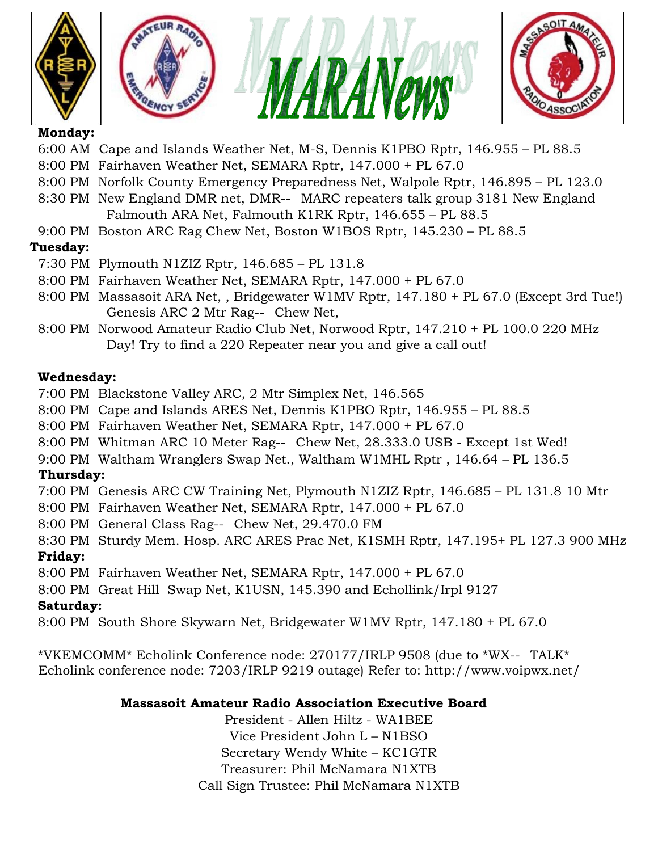







#### **Monday:**

- 6:00 AM Cape and Islands Weather Net, M-S, Dennis K1PBO Rptr, 146.955 PL 88.5
- 8:00 PM Fairhaven Weather Net, SEMARA Rptr, 147.000 + PL 67.0
- 8:00 PM Norfolk County Emergency Preparedness Net, Walpole Rptr, 146.895 PL 123.0
- 8:30 PM New England DMR net, DMR-- MARC repeaters talk group 3181 New England Falmouth ARA Net, Falmouth K1RK Rptr, 146.655 – PL 88.5
- 9:00 PM Boston ARC Rag Chew Net, Boston W1BOS Rptr, 145.230 PL 88.5

# **Tuesday:**

- 7:30 PM Plymouth N1ZIZ Rptr, 146.685 PL 131.8
- 8:00 PM Fairhaven Weather Net, SEMARA Rptr, 147.000 + PL 67.0
- 8:00 PM Massasoit ARA Net, , Bridgewater W1MV Rptr, 147.180 + PL 67.0 (Except 3rd Tue!) Genesis ARC 2 Mtr Rag-- Chew Net,
- 8:00 PM Norwood Amateur Radio Club Net, Norwood Rptr, 147.210 + PL 100.0 220 MHz Day! Try to find a 220 Repeater near you and give a call out!

# **Wednesday:**

- 7:00 PM Blackstone Valley ARC, 2 Mtr Simplex Net, 146.565
- 8:00 PM Cape and Islands ARES Net, Dennis K1PBO Rptr, 146.955 PL 88.5
- 8:00 PM Fairhaven Weather Net, SEMARA Rptr, 147.000 + PL 67.0
- 8:00 PM Whitman ARC 10 Meter Rag-- Chew Net, 28.333.0 USB Except 1st Wed!
- 9:00 PM Waltham Wranglers Swap Net., Waltham W1MHL Rptr , 146.64 PL 136.5

# **Thursday:**

- 7:00 PM Genesis ARC CW Training Net, Plymouth N1ZIZ Rptr, 146.685 PL 131.8 10 Mtr
- 8:00 PM Fairhaven Weather Net, SEMARA Rptr, 147.000 + PL 67.0
- 8:00 PM General Class Rag-- Chew Net, 29.470.0 FM
- 8:30 PM Sturdy Mem. Hosp. ARC ARES Prac Net, K1SMH Rptr, 147.195+ PL 127.3 900 MHz

# **Friday:**

- 8:00 PM Fairhaven Weather Net, SEMARA Rptr, 147.000 + PL 67.0
- 8:00 PM Great Hill Swap Net, K1USN, 145.390 and Echollink/Irpl 9127

# **Saturday:**

8:00 PM South Shore Skywarn Net, Bridgewater W1MV Rptr, 147.180 + PL 67.0

\*VKEMCOMM\* Echolink Conference node: 270177/IRLP 9508 (due to \*WX--TALK\* Echolink conference node: 7203/IRLP 9219 outage) Refer to: http://www.voipwx.net/

# **Massasoit Amateur Radio Association Executive Board**

President - Allen Hiltz - WA1BEE Vice President John L – N1BSO Secretary Wendy White – KC1GTR Treasurer: Phil McNamara N1XTB Call Sign Trustee: Phil McNamara N1XTB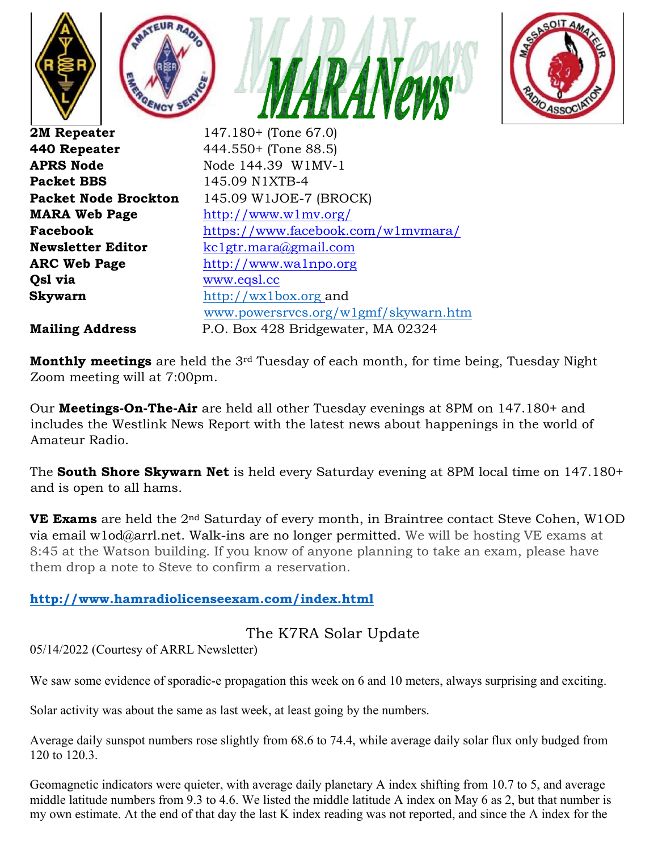



**APRS Node Node** 144.39 W1MV-1 **Packet BBS** 145.09 N1XTB-4 **Qsl via** www.eqsl.cc

**Packet Node Brockton** 145.09 W1JOE-7 (BROCK) **MARA Web Page** http://www.w1mv.org/ **Facebook** https://www.facebook.com/w1mvmara/ **Newsletter Editor** kc1gtr.mara@gmail.com **ARC Web Page** http://www.wa1npo.org **Skywarn** http://wx1box.org andwww.powersrvcs.org/w1gmf/skywarn.htm **Mailing Address** P.O. Box 428 Bridgewater, MA 02324

**Monthly meetings** are held the 3rd Tuesday of each month, for time being, Tuesday Night Zoom meeting will at 7:00pm.

Our **Meetings-On-The-Air** are held all other Tuesday evenings at 8PM on 147.180+ and includes the Westlink News Report with the latest news about happenings in the world of Amateur Radio.

The **South Shore Skywarn Net** is held every Saturday evening at 8PM local time on 147.180+ and is open to all hams.

**VE Exams** are held the 2<sup>nd</sup> Saturday of every month, in Braintree contact Steve Cohen, W1OD via email w1od@arrl.net. Walk-ins are no longer permitted. We will be hosting VE exams at 8:45 at the Watson building. If you know of anyone planning to take an exam, please have them drop a note to Steve to confirm a reservation.

# **http://www.hamradiolicenseexam.com/index.html**

# The K7RA Solar Update

05/14/2022 (Courtesy of ARRL Newsletter)

We saw some evidence of sporadic-e propagation this week on 6 and 10 meters, always surprising and exciting.

Solar activity was about the same as last week, at least going by the numbers.

Average daily sunspot numbers rose slightly from 68.6 to 74.4, while average daily solar flux only budged from 120 to 120.3.

Geomagnetic indicators were quieter, with average daily planetary A index shifting from 10.7 to 5, and average middle latitude numbers from 9.3 to 4.6. We listed the middle latitude A index on May 6 as 2, but that number is my own estimate. At the end of that day the last K index reading was not reported, and since the A index for the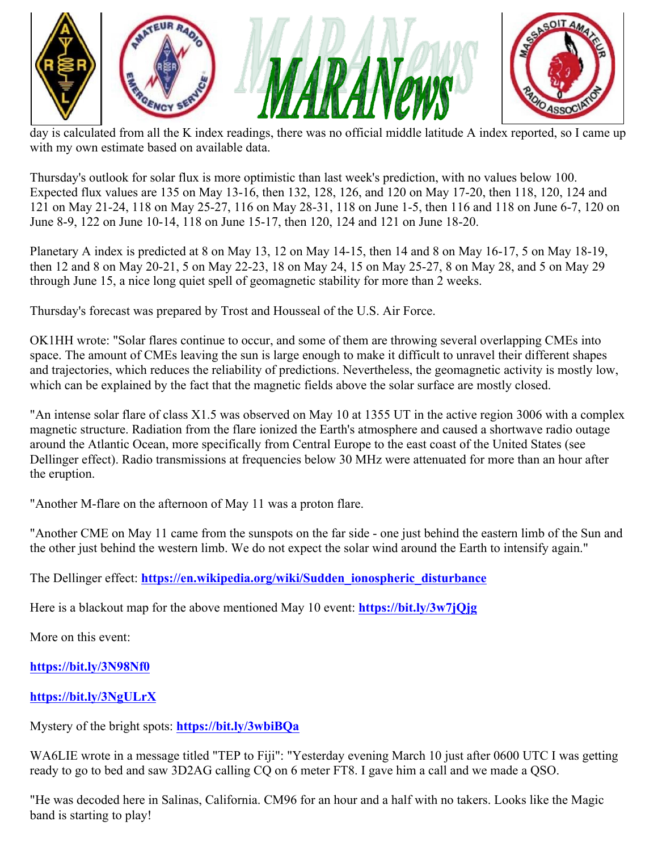





day is calculated from all the K index readings, there was no official middle latitude A index reported, so I came up with my own estimate based on available data.

Thursday's outlook for solar flux is more optimistic than last week's prediction, with no values below 100. Expected flux values are 135 on May 13-16, then 132, 128, 126, and 120 on May 17-20, then 118, 120, 124 and 121 on May 21-24, 118 on May 25-27, 116 on May 28-31, 118 on June 1-5, then 116 and 118 on June 6-7, 120 on June 8-9, 122 on June 10-14, 118 on June 15-17, then 120, 124 and 121 on June 18-20.

Planetary A index is predicted at 8 on May 13, 12 on May 14-15, then 14 and 8 on May 16-17, 5 on May 18-19, then 12 and 8 on May 20-21, 5 on May 22-23, 18 on May 24, 15 on May 25-27, 8 on May 28, and 5 on May 29 through June 15, a nice long quiet spell of geomagnetic stability for more than 2 weeks.

Thursday's forecast was prepared by Trost and Housseal of the U.S. Air Force.

OK1HH wrote: "Solar flares continue to occur, and some of them are throwing several overlapping CMEs into space. The amount of CMEs leaving the sun is large enough to make it difficult to unravel their different shapes and trajectories, which reduces the reliability of predictions. Nevertheless, the geomagnetic activity is mostly low, which can be explained by the fact that the magnetic fields above the solar surface are mostly closed.

"An intense solar flare of class X1.5 was observed on May 10 at 1355 UT in the active region 3006 with a complex magnetic structure. Radiation from the flare ionized the Earth's atmosphere and caused a shortwave radio outage around the Atlantic Ocean, more specifically from Central Europe to the east coast of the United States (see Dellinger effect). Radio transmissions at frequencies below 30 MHz were attenuated for more than an hour after the eruption.

"Another M-flare on the afternoon of May 11 was a proton flare.

"Another CME on May 11 came from the sunspots on the far side - one just behind the eastern limb of the Sun and the other just behind the western limb. We do not expect the solar wind around the Earth to intensify again."

The Dellinger effect: **https://en.wikipedia.org/wiki/Sudden\_ionospheric\_disturbance**

Here is a blackout map for the above mentioned May 10 event: **https://bit.ly/3w7jQjg**

More on this event:

**https://bit.ly/3N98Nf0**

# **https://bit.ly/3NgULrX**

Mystery of the bright spots: **https://bit.ly/3wbiBQa**

WA6LIE wrote in a message titled "TEP to Fiji": "Yesterday evening March 10 just after 0600 UTC I was getting ready to go to bed and saw 3D2AG calling CO on 6 meter FT8. I gave him a call and we made a OSO.

"He was decoded here in Salinas, California. CM96 for an hour and a half with no takers. Looks like the Magic band is starting to play!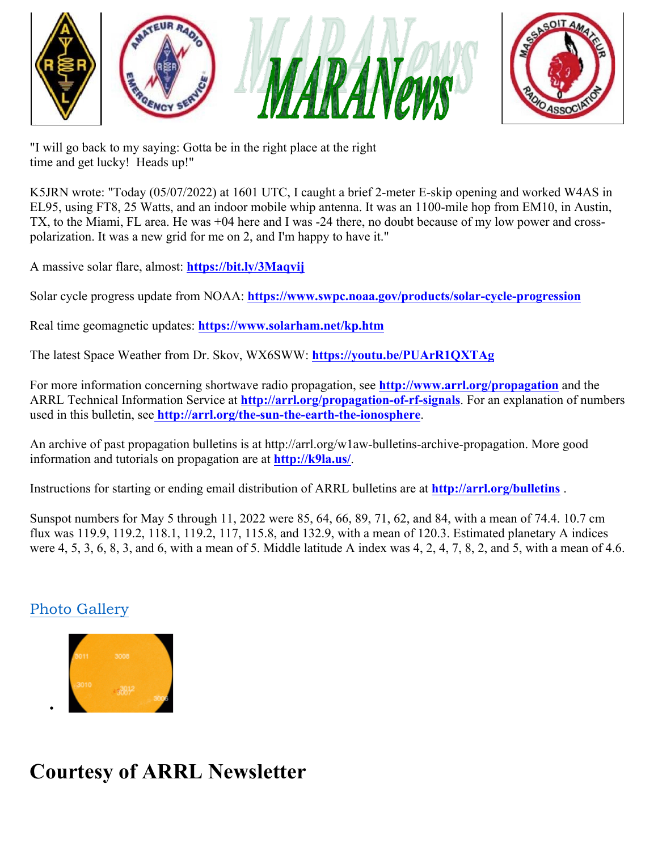



"I will go back to my saying: Gotta be in the right place at the right time and get lucky! Heads up!"

K5JRN wrote: "Today (05/07/2022) at 1601 UTC, I caught a brief 2-meter E-skip opening and worked W4AS in EL95, using FT8, 25 Watts, and an indoor mobile whip antenna. It was an 1100-mile hop from EM10, in Austin, TX, to the Miami, FL area. He was +04 here and I was -24 there, no doubt because of my low power and crosspolarization. It was a new grid for me on 2, and I'm happy to have it."

A massive solar flare, almost: **https://bit.ly/3Maqvij**

Solar cycle progress update from NOAA: **https://www.swpc.noaa.gov/products/solar-cycle-progression**

Real time geomagnetic updates: **https://www.solarham.net/kp.htm**

The latest Space Weather from Dr. Skov, WX6SWW: **https://youtu.be/PUArR1QXTAg**

For more information concerning shortwave radio propagation, see **http://www.arrl.org/propagation** and the ARRL Technical Information Service at **http://arrl.org/propagation-of-rf-signals**. For an explanation of numbers used in this bulletin, see **http://arrl.org/the-sun-the-earth-the-ionosphere**.

An archive of past propagation bulletins is at http://arrl.org/w1aw-bulletins-archive-propagation. More good information and tutorials on propagation are at **http://k9la.us/**.

Instructions for starting or ending email distribution of ARRL bulletins are at **http://arrl.org/bulletins** .

Sunspot numbers for May 5 through 11, 2022 were 85, 64, 66, 89, 71, 62, and 84, with a mean of 74.4. 10.7 cm flux was 119.9, 119.2, 118.1, 119.2, 117, 115.8, and 132.9, with a mean of 120.3. Estimated planetary A indices were 4, 5, 3, 6, 8, 3, and 6, with a mean of 5. Middle latitude A index was 4, 2, 4, 7, 8, 2, and 5, with a mean of 4.6.

# Photo Gallery

•



# **Courtesy of ARRL Newsletter**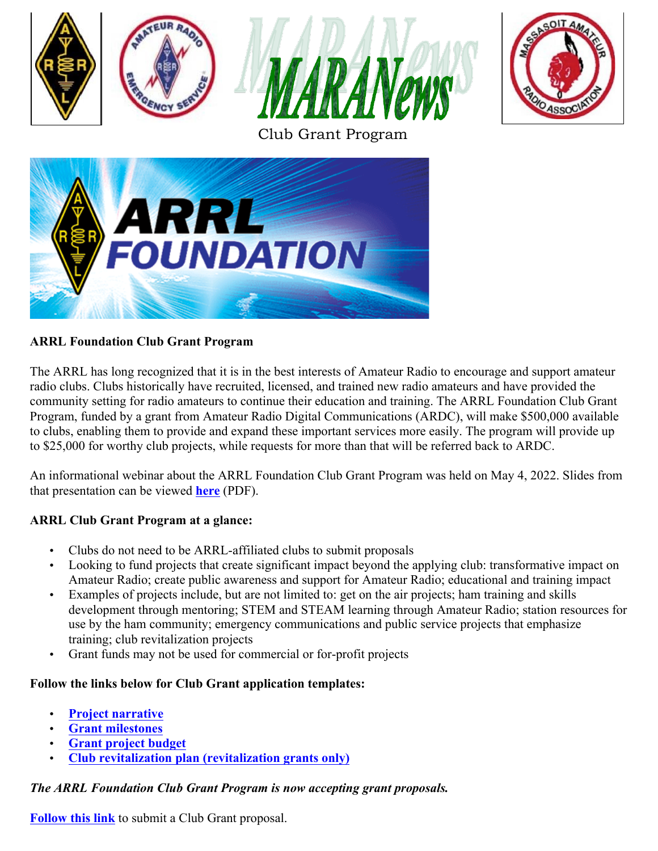





# **ARRL Foundation Club Grant Program**

The ARRL has long recognized that it is in the best interests of Amateur Radio to encourage and support amateur radio clubs. Clubs historically have recruited, licensed, and trained new radio amateurs and have provided the community setting for radio amateurs to continue their education and training. The ARRL Foundation Club Grant Program, funded by a grant from Amateur Radio Digital Communications (ARDC), will make \$500,000 available to clubs, enabling them to provide and expand these important services more easily. The program will provide up to \$25,000 for worthy club projects, while requests for more than that will be referred back to ARDC.

An informational webinar about the ARRL Foundation Club Grant Program was held on May 4, 2022. Slides from that presentation can be viewed **here** (PDF).

# **ARRL Club Grant Program at a glance:**

- Clubs do not need to be ARRL-affiliated clubs to submit proposals
- Looking to fund projects that create significant impact beyond the applying club: transformative impact on Amateur Radio; create public awareness and support for Amateur Radio; educational and training impact
- Examples of projects include, but are not limited to: get on the air projects; ham training and skills development through mentoring; STEM and STEAM learning through Amateur Radio; station resources for use by the ham community; emergency communications and public service projects that emphasize training; club revitalization projects
- Grant funds may not be used for commercial or for-profit projects

#### **Follow the links below for Club Grant application templates:**

- **Project narrative**
- **Grant milestones**
- **Grant project budget**
- **Club revitalization plan (revitalization grants only)**

#### *The ARRL Foundation Club Grant Program is now accepting grant proposals.*

**Follow this link** to submit a Club Grant proposal.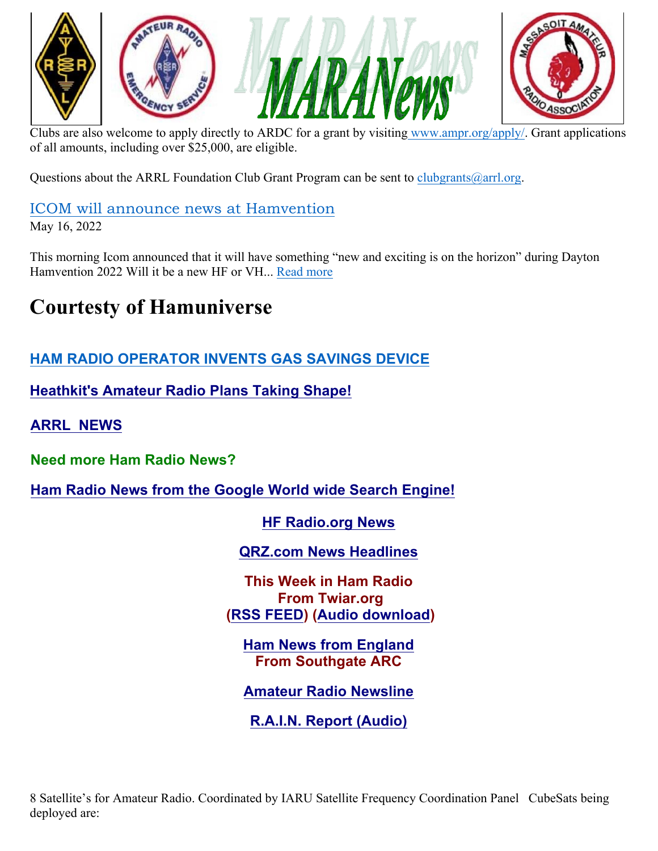





Clubs are also welcome to apply directly to ARDC for a grant by visiting www.ampr.org/apply/. Grant applications of all amounts, including over \$25,000, are eligible.

Questions about the ARRL Foundation Club Grant Program can be sent to clubgrants  $(\partial_{\alpha}arl.\partial_{\alpha}r)$ .

ICOM will announce news at Hamvention May 16, 2022

This morning Icom announced that it will have something "new and exciting is on the horizon" during Dayton Hamvention 2022 Will it be a new HF or VH... Read more

# **Courtesty of Hamuniverse**

# **HAM RADIO OPERATOR INVENTS GAS SAVINGS DEVICE**

**Heathkit's Amateur Radio Plans Taking Shape!**

**ARRL NEWS**

**Need more Ham Radio News?**

**Ham Radio News from the Google World wide Search Engine!**

**HF Radio.org News** 

**QRZ.com News Headlines**

**This Week in Ham Radio From Twiar.org (RSS FEED) (Audio download)**

**Ham News from England From Southgate ARC**

**Amateur Radio Newsline**

**R.A.I.N. Report (Audio)**